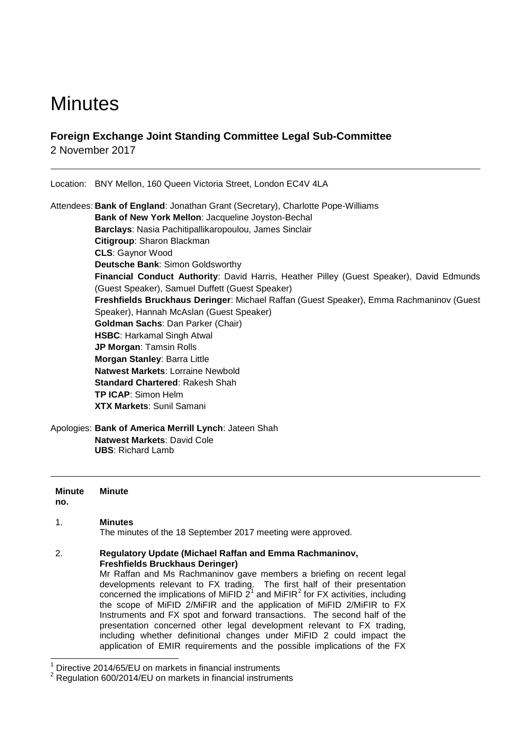# **Minutes**

# **Foreign Exchange Joint Standing Committee Legal Sub-Committee**

2 November 2017

Location: BNY Mellon, 160 Queen Victoria Street, London EC4V 4LA

Attendees: **Bank of England**: Jonathan Grant (Secretary), Charlotte Pope-Williams **Bank of New York Mellon**: Jacqueline Joyston-Bechal **Barclays**: Nasia Pachitipallikaropoulou, James Sinclair **Citigroup**: Sharon Blackman **CLS**: Gaynor Wood **Deutsche Bank**: Simon Goldsworthy **Financial Conduct Authority**: David Harris, Heather Pilley (Guest Speaker), David Edmunds (Guest Speaker), Samuel Duffett (Guest Speaker) **Freshfields Bruckhaus Deringer**: Michael Raffan (Guest Speaker), Emma Rachmaninov (Guest Speaker), Hannah McAslan (Guest Speaker) **Goldman Sachs**: Dan Parker (Chair) **HSBC**: Harkamal Singh Atwal **JP Morgan**: Tamsin Rolls **Morgan Stanley**: Barra Little **Natwest Markets**: Lorraine Newbold **Standard Chartered**: Rakesh Shah **TP ICAP**: Simon Helm **XTX Markets**: Sunil Samani

Apologies: **Bank of America Merrill Lynch**: Jateen Shah **Natwest Markets**: David Cole **UBS**: Richard Lamb

**Minute no. Minute**

## 1. **Minutes**

The minutes of the 18 September 2017 meeting were approved.

### 2. **Regulatory Update (Michael Raffan and Emma Rachmaninov, Freshfields Bruckhaus Deringer)**

Mr Raffan and Ms Rachmaninov gave members a briefing on recent legal developments relevant to FX trading. The first half of their presentation concerned the implications of MiFID  $2^1$  $2^1$  and MiFIR<sup>[2](#page-0-1)</sup> for FX activities, including the scope of MiFID 2/MiFIR and the application of MiFID 2/MiFIR to FX Instruments and FX spot and forward transactions. The second half of the presentation concerned other legal development relevant to FX trading, including whether definitional changes under MiFID 2 could impact the application of EMIR requirements and the possible implications of the FX

Directive 2014/65/EU on markets in financial instruments

<span id="page-0-1"></span><span id="page-0-0"></span> $2$  Regulation 600/2014/EU on markets in financial instruments